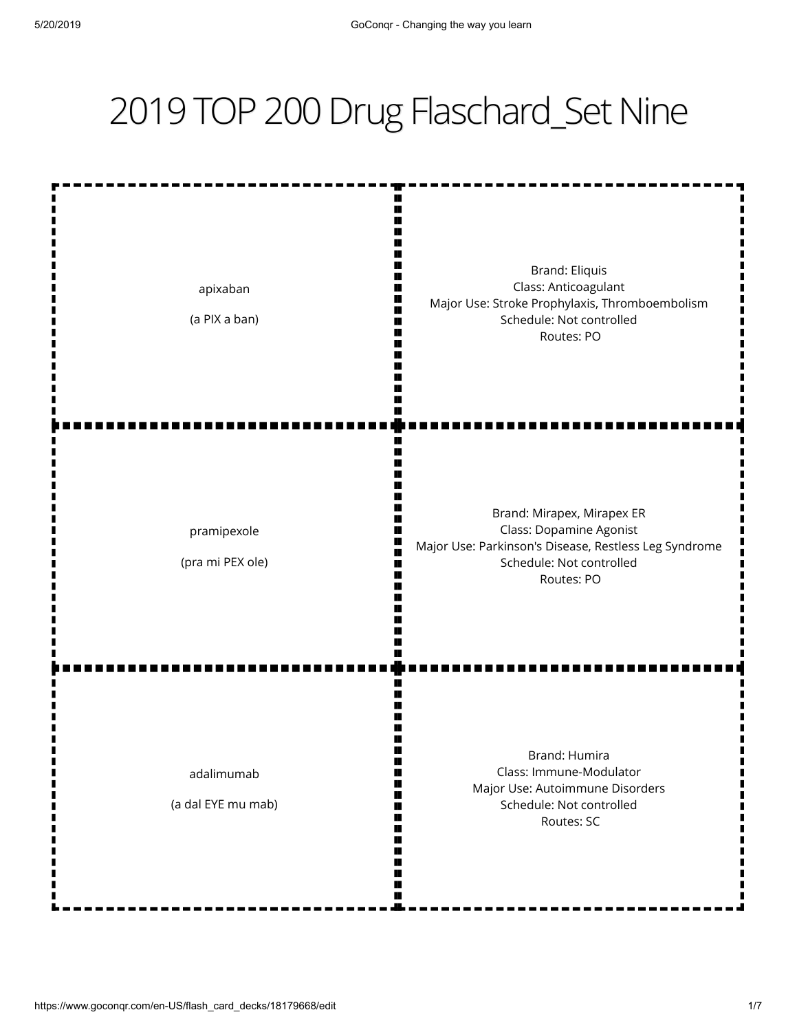## 2019 TOP 200 Drug Flaschard\_Set Nine

| apixaban<br>(a PIX a ban)        | <b>Brand: Eliquis</b><br>Class: Anticoagulant<br>Major Use: Stroke Prophylaxis, Thromboembolism<br>Schedule: Not controlled<br>Routes: PO                |
|----------------------------------|----------------------------------------------------------------------------------------------------------------------------------------------------------|
| pramipexole<br>(pra mi PEX ole)  | Brand: Mirapex, Mirapex ER<br>Class: Dopamine Agonist<br>Major Use: Parkinson's Disease, Restless Leg Syndrome<br>Schedule: Not controlled<br>Routes: PO |
| adalimumab<br>(a dal EYE mu mab) | <b>Brand: Humira</b><br>Class: Immune-Modulator<br>Major Use: Autoimmune Disorders<br>Schedule: Not controlled<br>Routes: SC                             |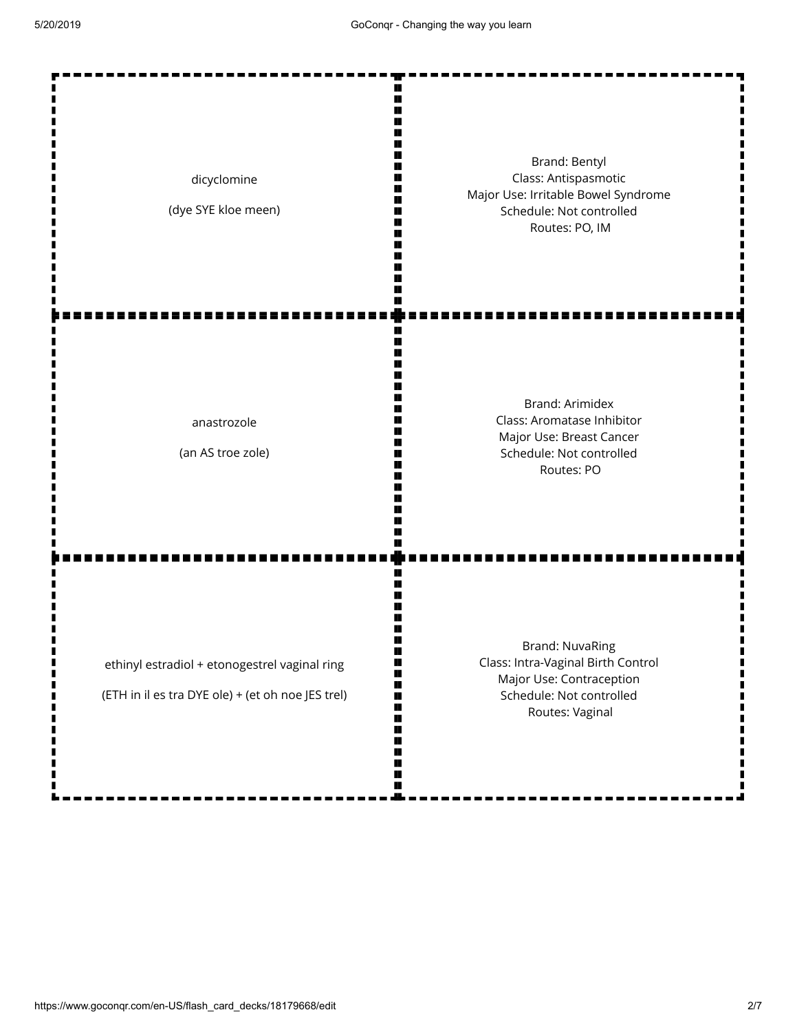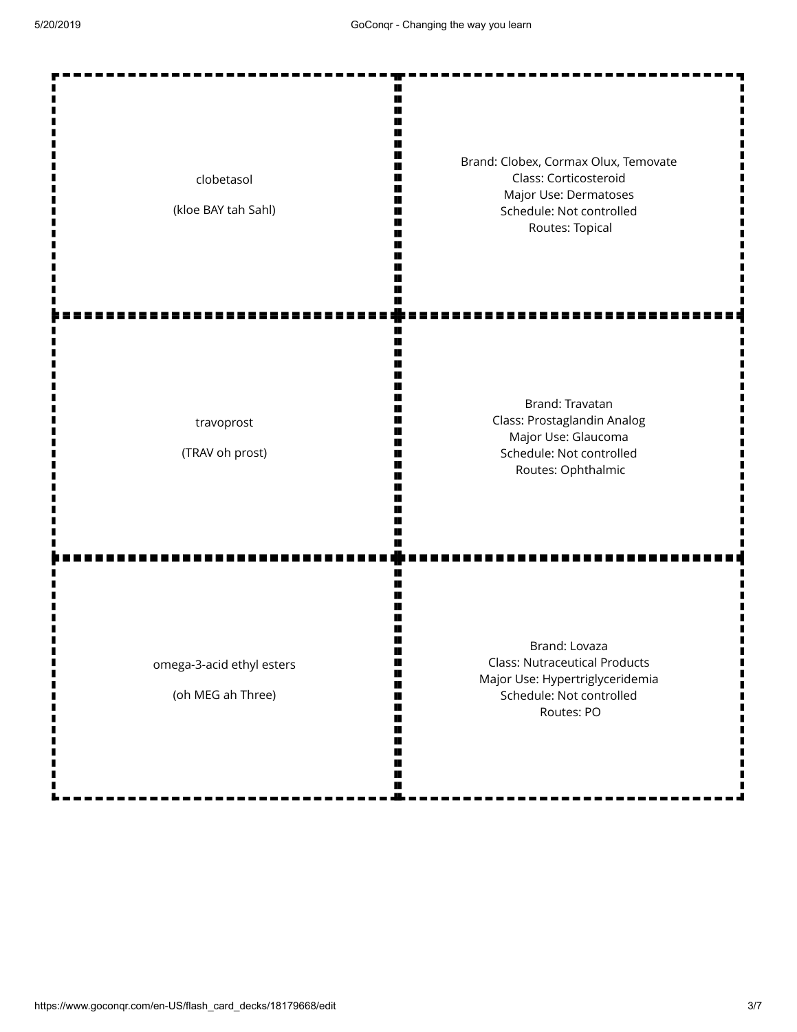| clobetasol<br>(kloe BAY tah Sahl)              | Brand: Clobex, Cormax Olux, Temovate<br>Class: Corticosteroid<br>Major Use: Dermatoses<br>Schedule: Not controlled<br>Routes: Topical |
|------------------------------------------------|---------------------------------------------------------------------------------------------------------------------------------------|
| travoprost<br>(TRAV oh prost)                  | Brand: Travatan<br>Class: Prostaglandin Analog<br>Major Use: Glaucoma<br>Schedule: Not controlled<br>Routes: Ophthalmic               |
| omega-3-acid ethyl esters<br>(oh MEG ah Three) | Brand: Lovaza<br><b>Class: Nutraceutical Products</b><br>Major Use: Hypertriglyceridemia<br>Schedule: Not controlled<br>Routes: PO    |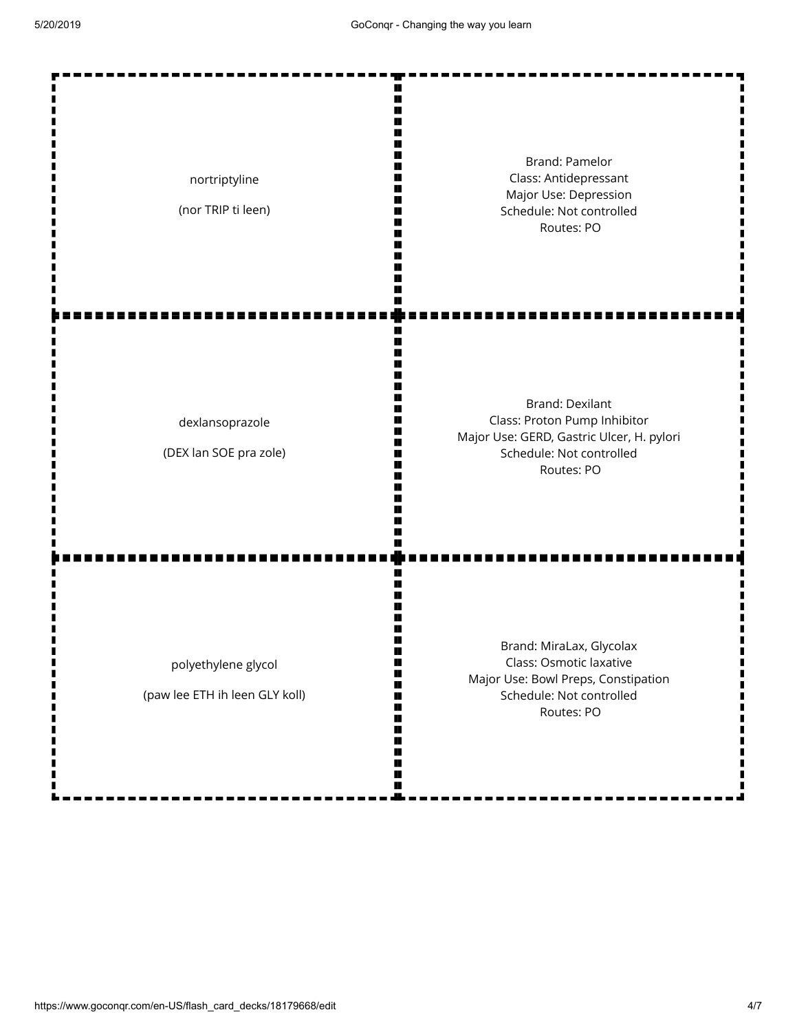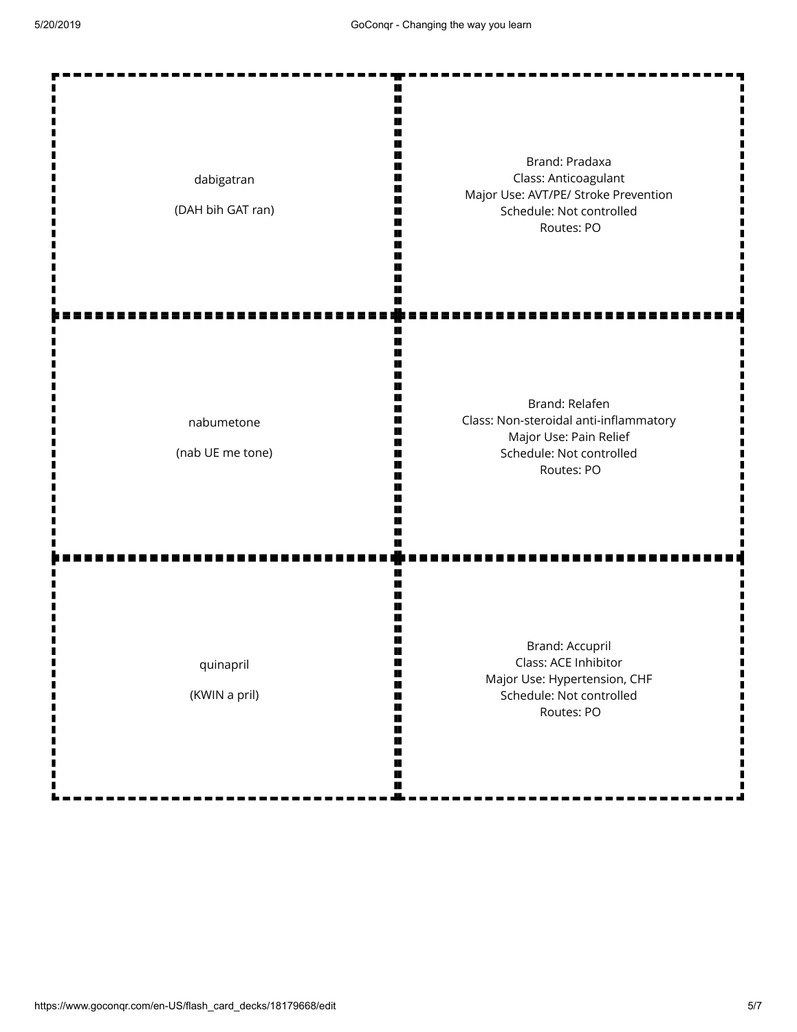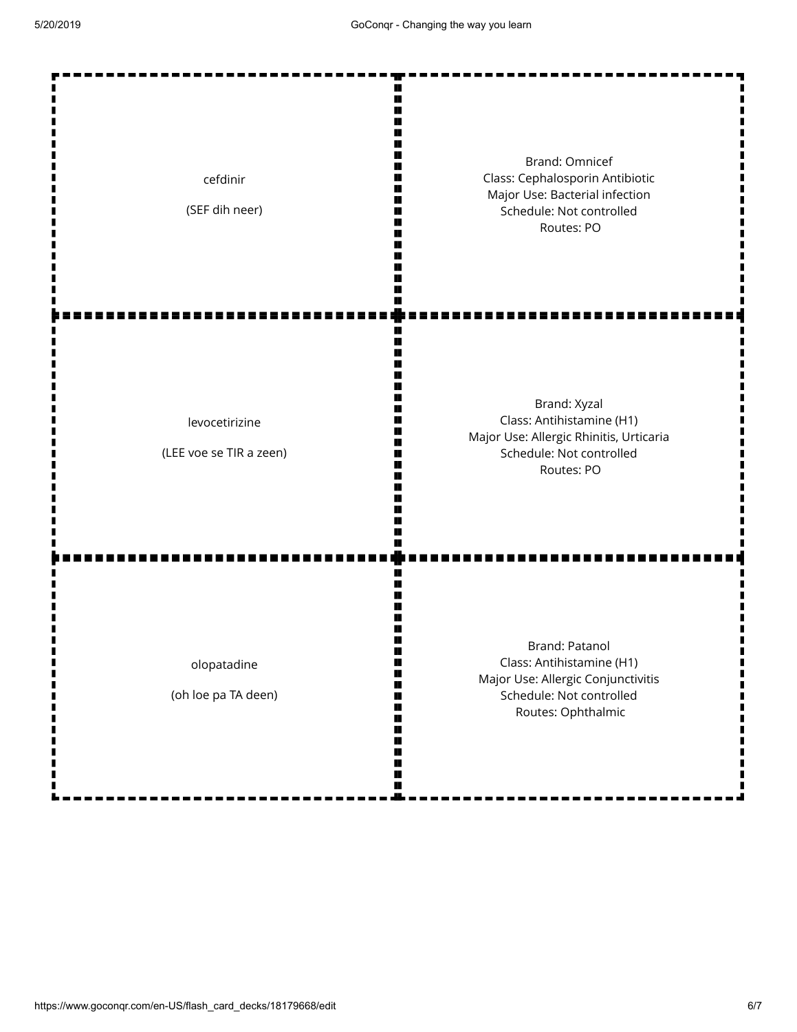